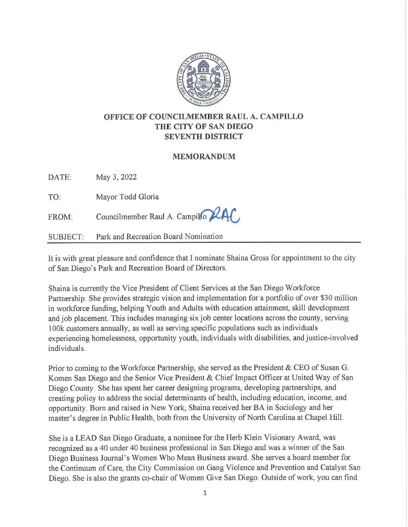

## **OFFICE OF COUNCILMEMBER RAUL A. CAMPILLO THE CITY OF SAN DIEGO SEVENTH DISTRICT**

## **MEMORANDUM**

DATE: May 3, 2022

TO: Mayor Todd Gloria

 $FROM:$  Councilmember Raul A. Campillo

SUBJECT: Park and Recreation Board Nomination

It is with great pleasure and confidence that I nominate Shaina Gross for appointment to the city of San Diego's Park and Recreation Board of Directors.

Shaina is currently the Vice President of Client Services at the San Diego Workforce Partnership. She provides strategic vision and implementation for a portfolio of over \$30 million in workforce funding, helping Youth and Adults with education attainment, skill development and job placement. This includes managing six job center locations across the county, serving 100k customers annually, as well as serving specific populations such as individuals experiencing homelessness, opportunity youth, individuals with disabilities, and justice-involved individuals.

Prior to coming to the Workforce Partnership, she served as the President & CEO of Susan G. Komen San Diego and the Senior Vice President & Chief Impact Officer at United Way of San Diego County. She has spent her career designing programs, developing partnerships, and creating policy to address the social determinants of health, including education, income, and opportunity. Born and raised in New York, Shaina received her BA in Sociology and her master's degree in Public Health, both from the University of North Carolina at Chapel Hill.

She is a LEAD San Diego Graduate, a nominee for the Herb Klein Visionary Award, was recognized as a 40 under 40 business professional in San Diego and was a winner of the San Diego Business Journal's Women Who Mean Business award. She serves a board member for the Continuum of Care, the City Commission on Gang Violence and Prevention and Catalyst San Diego. She is also the grants co-chair of Women Give San Diego. Outside of work, you can find